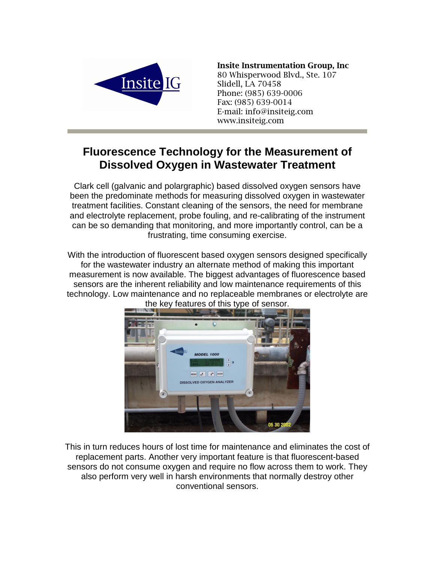

## **Insite Instrumentation Group, Inc.**

80 Whisperwood Blvd., Ste. 107 Slidell, LA 70458 Phone: (985) 639-0006 Fax: (985) 639-0014 E-mail: info@insiteig.com www.insiteig.com

## **Fluorescence Technology for the Measurement of Dissolved Oxygen in Wastewater Treatment**

Clark cell (galvanic and polargraphic) based dissolved oxygen sensors have been the predominate methods for measuring dissolved oxygen in wastewater treatment facilities. Constant cleaning of the sensors, the need for membrane and electrolyte replacement, probe fouling, and re-calibrating of the instrument can be so demanding that monitoring, and more importantly control, can be a frustrating, time consuming exercise.

With the introduction of fluorescent based oxygen sensors designed specifically for the wastewater industry an alternate method of making this important measurement is now available. The biggest advantages of fluorescence based sensors are the inherent reliability and low maintenance requirements of this technology. Low maintenance and no replaceable membranes or electrolyte are



the key features of this type of sensor.

This in turn reduces hours of lost time for maintenance and eliminates the cost of replacement parts. Another very important feature is that fluorescent-based sensors do not consume oxygen and require no flow across them to work. They also perform very well in harsh environments that normally destroy other conventional sensors.